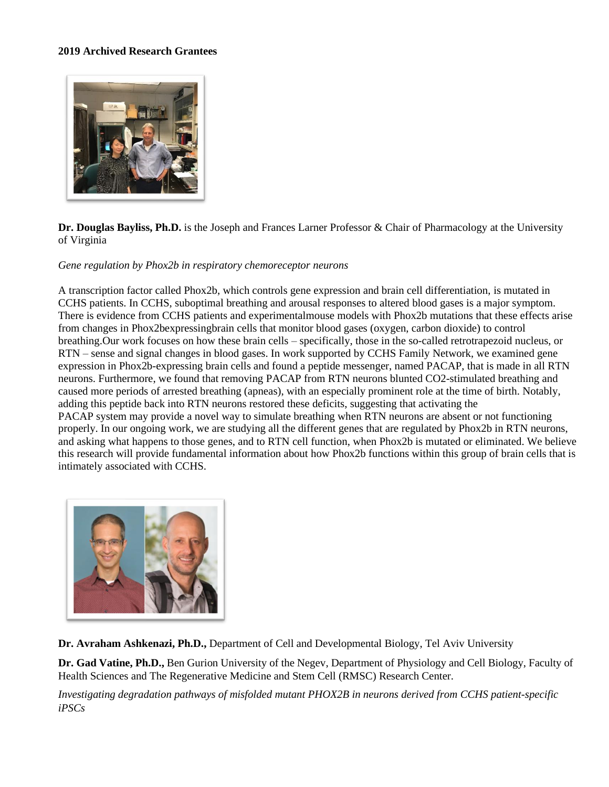## **2019 Archived Research Grantees**



**Dr. Douglas Bayliss, Ph.D.** is the Joseph and Frances Larner Professor & Chair of Pharmacology at the University of Virginia

## *Gene regulation by Phox2b in respiratory chemoreceptor neurons*

A transcription factor called Phox2b, which controls gene expression and brain cell differentiation, is mutated in CCHS patients. In CCHS, suboptimal breathing and arousal responses to altered blood gases is a major symptom. There is evidence from CCHS patients and experimentalmouse models with Phox2b mutations that these effects arise from changes in Phox2bexpressingbrain cells that monitor blood gases (oxygen, carbon dioxide) to control breathing.Our work focuses on how these brain cells – specifically, those in the so-called retrotrapezoid nucleus, or RTN – sense and signal changes in blood gases. In work supported by CCHS Family Network, we examined gene expression in Phox2b-expressing brain cells and found a peptide messenger, named PACAP, that is made in all RTN neurons. Furthermore, we found that removing PACAP from RTN neurons blunted CO2-stimulated breathing and caused more periods of arrested breathing (apneas), with an especially prominent role at the time of birth. Notably, adding this peptide back into RTN neurons restored these deficits, suggesting that activating the PACAP system may provide a novel way to simulate breathing when RTN neurons are absent or not functioning properly. In our ongoing work, we are studying all the different genes that are regulated by Phox2b in RTN neurons, and asking what happens to those genes, and to RTN cell function, when Phox2b is mutated or eliminated. We believe this research will provide fundamental information about how Phox2b functions within this group of brain cells that is intimately associated with CCHS.



**Dr. Avraham Ashkenazi, Ph.D.,** Department of Cell and Developmental Biology, Tel Aviv University

**Dr. Gad Vatine, Ph.D.,** Ben Gurion University of the Negev, Department of Physiology and Cell Biology, Faculty of Health Sciences and The Regenerative Medicine and Stem Cell (RMSC) Research Center.

*Investigating degradation pathways of misfolded mutant PHOX2B in neurons derived from CCHS patient-specific iPSCs*